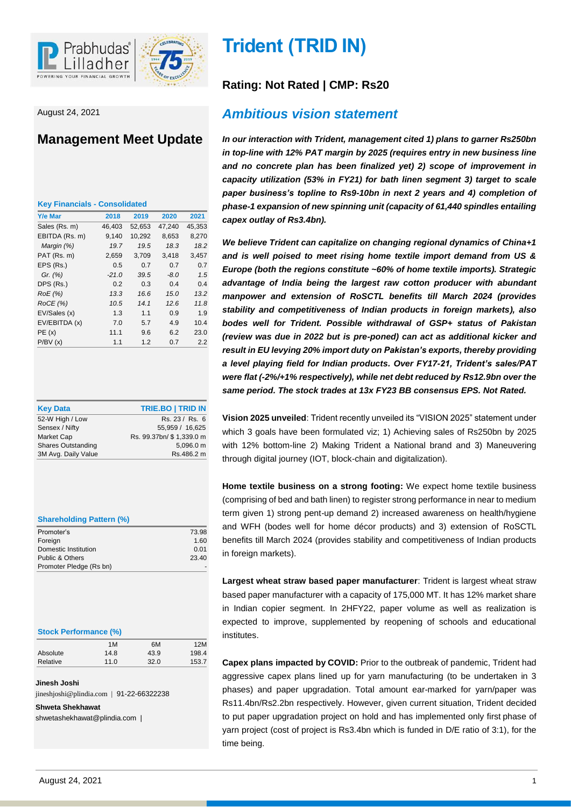

August 24, 2021

# **Management Meet Update**

| <b>Key Financials - Consolidated</b> |  |
|--------------------------------------|--|
|--------------------------------------|--|

| <b>Y/e Mar</b> | 2018    | 2019   | 2020   | 2021   |
|----------------|---------|--------|--------|--------|
| Sales (Rs. m)  | 46,403  | 52,653 | 47,240 | 45,353 |
| EBITDA (Rs. m) | 9,140   | 10,292 | 8,653  | 8,270  |
| Margin (%)     | 19.7    | 19.5   | 18.3   | 18.2   |
| PAT (Rs. m)    | 2,659   | 3,709  | 3,418  | 3,457  |
| EPS (Rs.)      | 0.5     | 0.7    | 0.7    | 0.7    |
| Gr. $(%)$      | $-21.0$ | 39.5   | $-8.0$ | 1.5    |
| DPS (Rs.)      | 0.2     | 0.3    | 0.4    | 0.4    |
| RoE (%)        | 13.3    | 16.6   | 15.0   | 13.2   |
| ROCE(%)        | 10.5    | 14.1   | 12.6   | 11.8   |
| EV/Sales (x)   | 1.3     | 1.1    | 0.9    | 1.9    |
| EV/EBITDA (x)  | 7.0     | 5.7    | 4.9    | 10.4   |
| PE(x)          | 11.1    | 9.6    | 6.2    | 23.0   |
| P/BV(x)        | 1.1     | 1.2    | 0.7    | 2.2    |

| <b>Key Data</b>           | <b>TRIE.BO   TRID IN</b>  |
|---------------------------|---------------------------|
| 52-W High / Low           | Rs. 23 / Rs. 6            |
| Sensex / Nifty            | 55.959 / 16.625           |
| Market Cap                | Rs. 99.37bn/ \$ 1,339.0 m |
| <b>Shares Outstanding</b> | 5,096.0 m                 |
| 3M Avg. Daily Value       | Rs.486.2 m                |

| <b>Shareholding Pattern (%)</b> |  |  |
|---------------------------------|--|--|
|                                 |  |  |

| Promoter's              | 73.98 |
|-------------------------|-------|
| Foreign                 | 1.60  |
| Domestic Institution    | 0.01  |
| Public & Others         | 23.40 |
| Promoter Pledge (Rs bn) |       |
|                         |       |

| <b>Stock Performance (%)</b> |  |
|------------------------------|--|
|                              |  |

|          | 1M   | 6M   | 12M   |
|----------|------|------|-------|
| Absolute | 14.8 | 43.9 | 198.4 |
| Relative | 11.0 | 32.0 | 153.7 |

**Jinesh Joshi**

jineshjoshi@plindia.com | 91-22-66322238

**Shweta Shekhawat** shwetashekhawat@plindia.com |

# **Trident (TRID IN)**

# **Rating: Not Rated | CMP: Rs20**

# *Ambitious vision statement*

*In our interaction with Trident, management cited 1) plans to garner Rs250bn in top-line with 12% PAT margin by 2025 (requires entry in new business line and no concrete plan has been finalized yet) 2) scope of improvement in capacity utilization (53% in FY21) for bath linen segment 3) target to scale paper business's topline to Rs9-10bn in next 2 years and 4) completion of phase-1 expansion of new spinning unit (capacity of 61,440 spindles entailing capex outlay of Rs3.4bn).*

*We believe Trident can capitalize on changing regional dynamics of China+1 and is well poised to meet rising home textile import demand from US & Europe (both the regions constitute ~60% of home textile imports). Strategic advantage of India being the largest raw cotton producer with abundant manpower and extension of RoSCTL benefits till March 2024 (provides stability and competitiveness of Indian products in foreign markets), also bodes well for Trident. Possible withdrawal of GSP+ status of Pakistan (review was due in 2022 but is pre-poned) can act as additional kicker and result in EU levying 20% import duty on Pakistan's exports, thereby providing a level playing field for Indian products. Over FY17-21, Trident's sales/PAT were flat (-2%/+1% respectively), while net debt reduced by Rs12.9bn over the same period. The stock trades at 13x FY23 BB consensus EPS. Not Rated.* 

**Vision 2025 unveiled**: Trident recently unveiled its "VISION 2025" statement under which 3 goals have been formulated viz; 1) Achieving sales of Rs250bn by 2025 with 12% bottom-line 2) Making Trident a National brand and 3) Maneuvering through digital journey (IOT, block-chain and digitalization).

**Home textile business on a strong footing:** We expect home textile business (comprising of bed and bath linen) to register strong performance in near to medium term given 1) strong pent-up demand 2) increased awareness on health/hygiene and WFH (bodes well for home décor products) and 3) extension of RoSCTL benefits till March 2024 (provides stability and competitiveness of Indian products in foreign markets).

**Largest wheat straw based paper manufacturer**: Trident is largest wheat straw based paper manufacturer with a capacity of 175,000 MT. It has 12% market share in Indian copier segment. In 2HFY22, paper volume as well as realization is expected to improve, supplemented by reopening of schools and educational institutes.

**Capex plans impacted by COVID:** Prior to the outbreak of pandemic, Trident had aggressive capex plans lined up for yarn manufacturing (to be undertaken in 3 phases) and paper upgradation. Total amount ear-marked for yarn/paper was Rs11.4bn/Rs2.2bn respectively. However, given current situation, Trident decided to put paper upgradation project on hold and has implemented only first phase of yarn project (cost of project is Rs3.4bn which is funded in D/E ratio of 3:1), for the time being.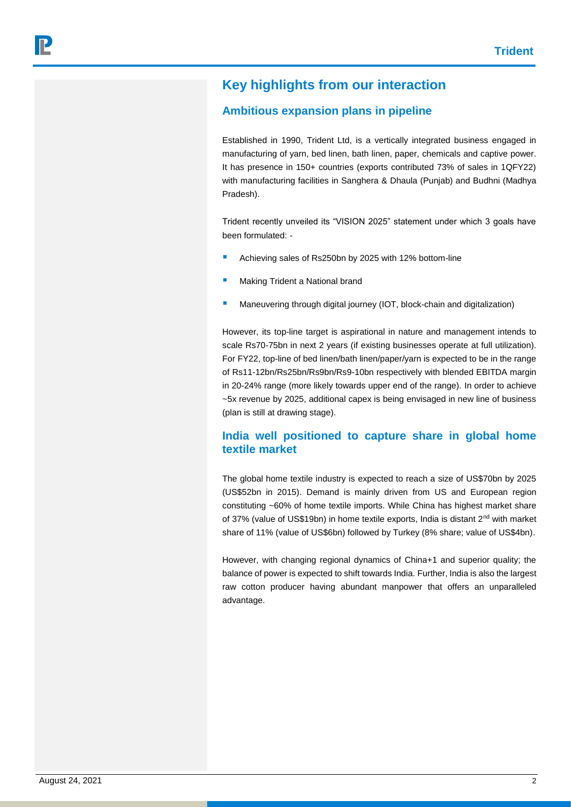# **Key highlights from our interaction**

### **Ambitious expansion plans in pipeline**

Established in 1990, Trident Ltd, is a vertically integrated business engaged in manufacturing of yarn, bed linen, bath linen, paper, chemicals and captive power. It has presence in 150+ countries (exports contributed 73% of sales in 1QFY22) with manufacturing facilities in Sanghera & Dhaula (Punjab) and Budhni (Madhya Pradesh).

Trident recently unveiled its "VISION 2025" statement under which 3 goals have been formulated: -

- Achieving sales of Rs250bn by 2025 with 12% bottom-line
- Making Trident a National brand
- **Maneuvering through digital journey (IOT, block-chain and digitalization)**

However, its top-line target is aspirational in nature and management intends to scale Rs70-75bn in next 2 years (if existing businesses operate at full utilization). For FY22, top-line of bed linen/bath linen/paper/yarn is expected to be in the range of Rs11-12bn/Rs25bn/Rs9bn/Rs9-10bn respectively with blended EBITDA margin in 20-24% range (more likely towards upper end of the range). In order to achieve ~5x revenue by 2025, additional capex is being envisaged in new line of business (plan is still at drawing stage).

### **India well positioned to capture share in global home textile market**

The global home textile industry is expected to reach a size of US\$70bn by 2025 (US\$52bn in 2015). Demand is mainly driven from US and European region constituting ~60% of home textile imports. While China has highest market share of 37% (value of US\$19bn) in home textile exports, India is distant 2<sup>nd</sup> with market share of 11% (value of US\$6bn) followed by Turkey (8% share; value of US\$4bn).

However, with changing regional dynamics of China+1 and superior quality; the balance of power is expected to shift towards India. Further, India is also the largest raw cotton producer having abundant manpower that offers an unparalleled advantage.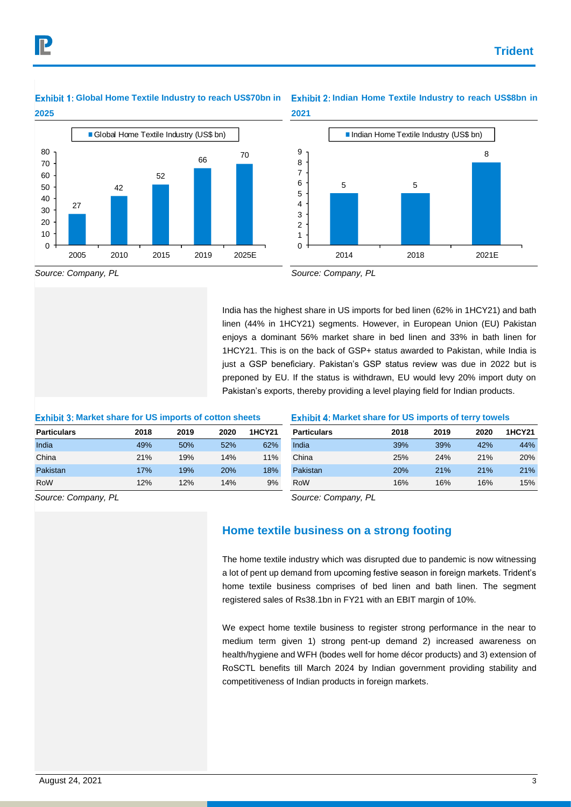# **2025**



### Global Home Textile Industry to reach US\$70bn in Exhibit 2: Indian Home Textile Industry to reach US\$8bn in **2021**



*Source: Company, PL*

India has the highest share in US imports for bed linen (62% in 1HCY21) and bath linen (44% in 1HCY21) segments. However, in European Union (EU) Pakistan enjoys a dominant 56% market share in bed linen and 33% in bath linen for 1HCY21. This is on the back of GSP+ status awarded to Pakistan, while India is just a GSP beneficiary. Pakistan's GSP status review was due in 2022 but is preponed by EU. If the status is withdrawn, EU would levy 20% import duty on Pakistan's exports, thereby providing a level playing field for Indian products.

### **Exhibit 3: Market share for US imports of cotton sheets**

**Particulars 2018 2019 2020 1HCY21** India 49% 50% 52% 62% China 21% 19% 14% 11% Pakistan 17% 19% 20% 18% RoW 12% 12% 14% 9%

### **Exhibit 4: Market share for US imports of terry towels**

| <b>Particulars</b> | 2018       | 2019 | 2020 | <b>1HCY21</b> |
|--------------------|------------|------|------|---------------|
| India              | 39%        | 39%  | 42%  | 44%           |
| China              | 25%        | 24%  | 21%  | 20%           |
| Pakistan           | <b>20%</b> | 21%  | 21%  | 21%           |
| RoW                | 16%        | 16%  | 16%  | 15%           |

*Source: Company, PL*

*Source: Company, PL*

## **Home textile business on a strong footing**

The home textile industry which was disrupted due to pandemic is now witnessing a lot of pent up demand from upcoming festive season in foreign markets. Trident's home textile business comprises of bed linen and bath linen. The segment registered sales of Rs38.1bn in FY21 with an EBIT margin of 10%.

We expect home textile business to register strong performance in the near to medium term given 1) strong pent-up demand 2) increased awareness on health/hygiene and WFH (bodes well for home décor products) and 3) extension of RoSCTL benefits till March 2024 by Indian government providing stability and competitiveness of Indian products in foreign markets.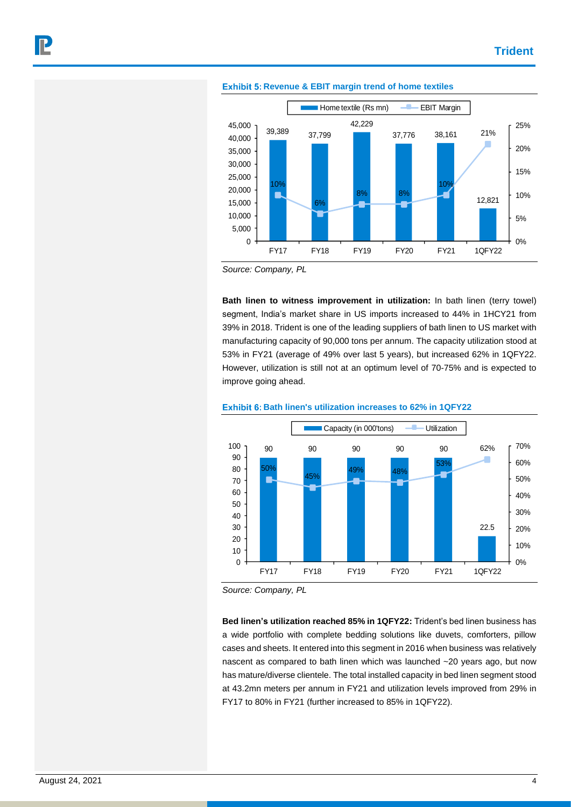

#### **Exhibit 5: Revenue & EBIT margin trend of home textiles**

*Source: Company, PL*

**Bath linen to witness improvement in utilization:** In bath linen (terry towel) segment, India's market share in US imports increased to 44% in 1HCY21 from 39% in 2018. Trident is one of the leading suppliers of bath linen to US market with manufacturing capacity of 90,000 tons per annum. The capacity utilization stood at 53% in FY21 (average of 49% over last 5 years), but increased 62% in 1QFY22. However, utilization is still not at an optimum level of 70-75% and is expected to improve going ahead.





*Source: Company, PL*

**Bed linen's utilization reached 85% in 1QFY22:** Trident's bed linen business has a wide portfolio with complete bedding solutions like duvets, comforters, pillow cases and sheets. It entered into this segment in 2016 when business was relatively nascent as compared to bath linen which was launched ~20 years ago, but now has mature/diverse clientele. The total installed capacity in bed linen segment stood at 43.2mn meters per annum in FY21 and utilization levels improved from 29% in FY17 to 80% in FY21 (further increased to 85% in 1QFY22).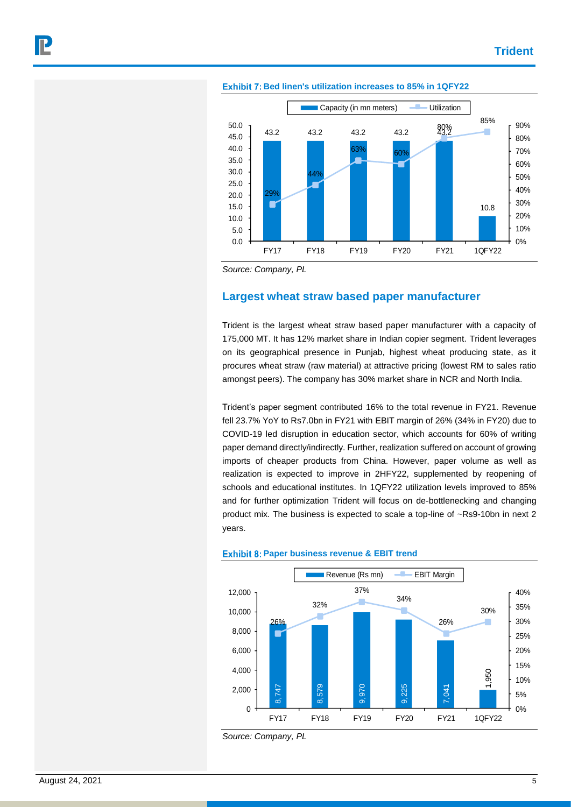

#### **Exhibit 7: Bed linen's utilization increases to 85% in 1QFY22**

*Source: Company, PL*

### **Largest wheat straw based paper manufacturer**

Trident is the largest wheat straw based paper manufacturer with a capacity of 175,000 MT. It has 12% market share in Indian copier segment. Trident leverages on its geographical presence in Punjab, highest wheat producing state, as it procures wheat straw (raw material) at attractive pricing (lowest RM to sales ratio amongst peers). The company has 30% market share in NCR and North India.

Trident's paper segment contributed 16% to the total revenue in FY21. Revenue fell 23.7% YoY to Rs7.0bn in FY21 with EBIT margin of 26% (34% in FY20) due to COVID-19 led disruption in education sector, which accounts for 60% of writing paper demand directly/indirectly. Further, realization suffered on account of growing imports of cheaper products from China. However, paper volume as well as realization is expected to improve in 2HFY22, supplemented by reopening of schools and educational institutes. In 1QFY22 utilization levels improved to 85% and for further optimization Trident will focus on de-bottlenecking and changing product mix. The business is expected to scale a top-line of ~Rs9-10bn in next 2 years.



#### **Exhibit 8: Paper business revenue & EBIT trend**

*Source: Company, PL*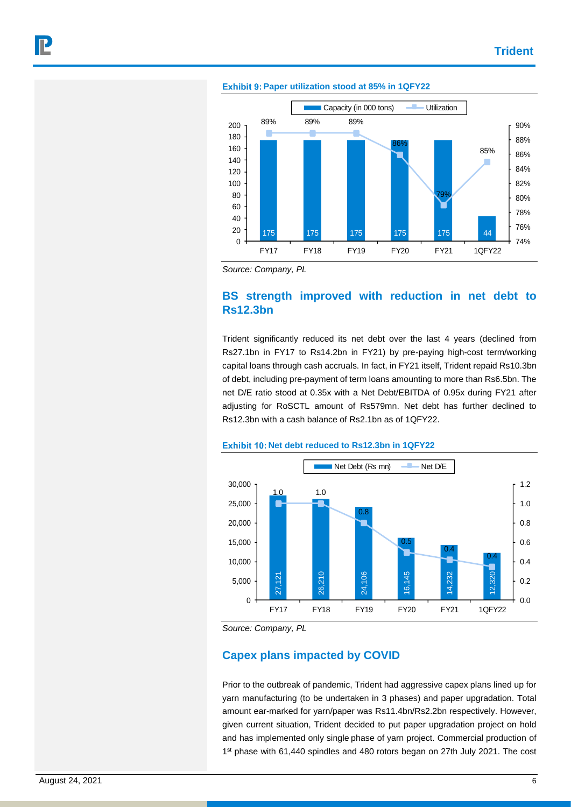

#### **Exhibit 9: Paper utilization stood at 85% in 1QFY22**

*Source: Company, PL*

## **BS strength improved with reduction in net debt to Rs12.3bn**

Trident significantly reduced its net debt over the last 4 years (declined from Rs27.1bn in FY17 to Rs14.2bn in FY21) by pre-paying high-cost term/working capital loans through cash accruals. In fact, in FY21 itself, Trident repaid Rs10.3bn of debt, including pre-payment of term loans amounting to more than Rs6.5bn. The net D/E ratio stood at 0.35x with a Net Debt/EBITDA of 0.95x during FY21 after adjusting for RoSCTL amount of Rs579mn. Net debt has further declined to Rs12.3bn with a cash balance of Rs2.1bn as of 1QFY22.



### **Exhibit 10: Net debt reduced to Rs12.3bn in 1QFY22**

### **Capex plans impacted by COVID**

Prior to the outbreak of pandemic, Trident had aggressive capex plans lined up for yarn manufacturing (to be undertaken in 3 phases) and paper upgradation. Total amount ear-marked for yarn/paper was Rs11.4bn/Rs2.2bn respectively. However, given current situation, Trident decided to put paper upgradation project on hold and has implemented only single phase of yarn project. Commercial production of 1<sup>st</sup> phase with 61,440 spindles and 480 rotors began on 27th July 2021. The cost

*Source: Company, PL*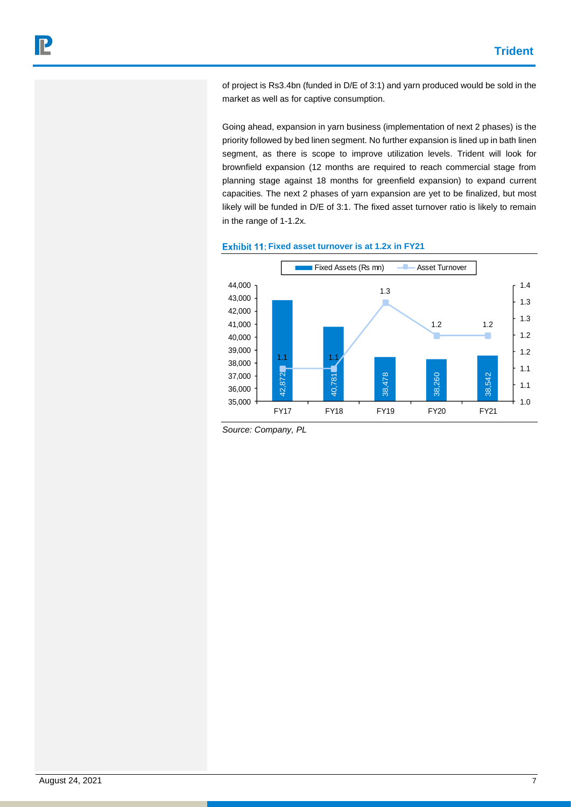of project is Rs3.4bn (funded in D/E of 3:1) and yarn produced would be sold in the market as well as for captive consumption.

Going ahead, expansion in yarn business (implementation of next 2 phases) is the priority followed by bed linen segment. No further expansion is lined up in bath linen segment, as there is scope to improve utilization levels. Trident will look for brownfield expansion (12 months are required to reach commercial stage from planning stage against 18 months for greenfield expansion) to expand current capacities. The next 2 phases of yarn expansion are yet to be finalized, but most likely will be funded in D/E of 3:1. The fixed asset turnover ratio is likely to remain in the range of 1-1.2x.





*Source: Company, PL*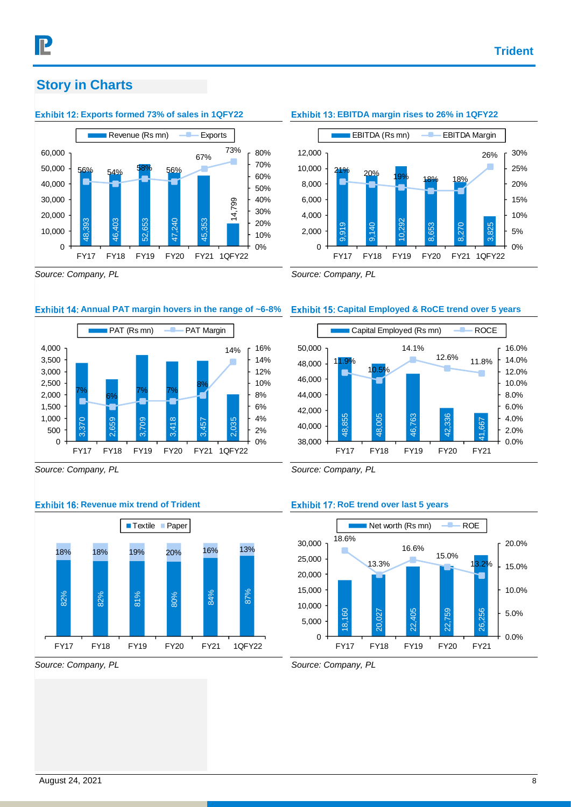# **Story in Charts**

### **Exhibit 12: Exports formed 73% of sales in 1QFY22**



# **Exhibit 13: EBITDA margin rises to 26% in 1QFY22**



*Source: Company, PL*

### **Exhibit 14: Annual PAT margin hovers in the range of ~6-8%**



*Source: Company, PL*

### **Exhibit 16: Revenue mix trend of Trident**



### *Source: Company, PL*

*Source: Company, PL*

### **Capital Employed & RoCE trend over 5 years**



*Source: Company, PL*

### **Exhibit 17: RoE trend over last 5 years**



*Source: Company, PL*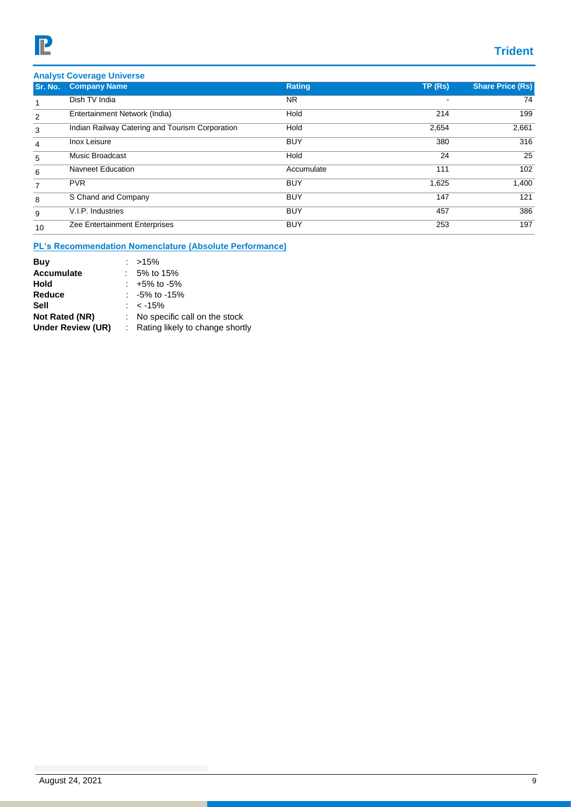# **Trident**

|  | <b>Analyst Coverage Universe</b> |  |
|--|----------------------------------|--|
|  |                                  |  |

| Sr. No. | <b>Company Name</b>                             | <b>Rating</b> | TP(Rs) | <b>Share Price (Rs)</b> |
|---------|-------------------------------------------------|---------------|--------|-------------------------|
|         | Dish TV India                                   | NR.           |        | 74                      |
| 2       | Entertainment Network (India)                   | Hold          | 214    | 199                     |
| 3       | Indian Railway Catering and Tourism Corporation | Hold          | 2,654  | 2,661                   |
| 4       | Inox Leisure                                    | <b>BUY</b>    | 380    | 316                     |
| 5       | Music Broadcast                                 | Hold          | 24     | 25                      |
| 6       | <b>Navneet Education</b>                        | Accumulate    | 111    | 102                     |
| 7       | <b>PVR</b>                                      | <b>BUY</b>    | 1,625  | 1,400                   |
| 8       | S Chand and Company                             | <b>BUY</b>    | 147    | 121                     |
| 9       | V.I.P. Industries                               | <b>BUY</b>    | 457    | 386                     |
| 10      | Zee Entertainment Enterprises                   | <b>BUY</b>    | 253    | 197                     |

### **PL's Recommendation Nomenclature (Absolute Performance)**

| Buy               | : $>15\%$                         |
|-------------------|-----------------------------------|
| <b>Accumulate</b> | $: 5\%$ to 15%                    |
| Hold              | $: +5\%$ to -5%                   |
| Reduce            | $: -5\%$ to -15%                  |
| Sell              | : $<$ -15%                        |
| Not Rated (NR)    | : No specific call on the stock   |
| Under Review (UR) | : Rating likely to change shortly |